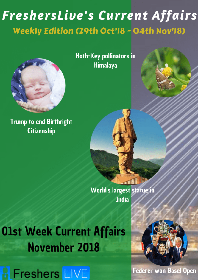# FreshersLive's Current Affairs Weekly Edition (29th Oct'l8 - 04th Nov'l8)



**Trump to end Birthright Citizenship** 

Moth-Key pollinators in **Himalaya** 



**Olst Week Current Affairs November 2018** 





**Federer won Basel Open**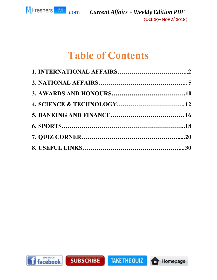

# **Table of Contents**

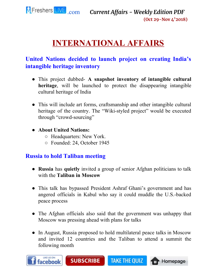

# **INTERNATIONAL AFFAIRS**

# <span id="page-2-0"></span>**United Nations decided to launch project on creating India's intangible heritage inventory**

- This project dubbed- **A snapshot inventory of intangible cultural heritage**, will be launched to protect the disappearing intangible cultural heritage of India
- This will include art forms, craftsmanship and other intangible cultural heritage of the country. The "Wiki-styled project" would be executed through "crowd-sourcing"
- **About United Nations:**
	- Headquarters: New York.
	- Founded: 24, October 1945

# **Russia to hold Taliban meeting**

- **Russia** has **quietly** invited a group of senior Afghan politicians to talk with the **Taliban in Moscow**
- This talk has bypassed President Ashraf Ghani's government and has angered officials in Kabul who say it could muddle the U.S.-backed peace process
- The Afghan officials also said that the government was unhappy that Moscow was pressing ahead with plans for talks
- In August, Russia proposed to hold multilateral peace talks in Moscow and invited 12 countries and the Taliban to attend a summit the following month

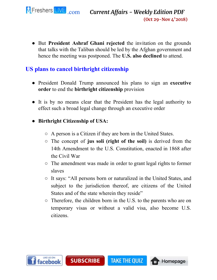

● But **President Ashraf Ghani rejected** the invitation on the grounds that talks with the Taliban should be led by the Afghan government and hence the meeting was postponed. The **U.S. also declined** to attend.

# **US plans to cancel birthright citizenship**

- President Donald Trump announced his plans to sign an **executive order** to end the **birthright citizenship** provision
- It is by no means clear that the President has the legal authority to effect such a broad legal change through an executive order
- **Birthright Citizenship of USA:**
	- A person is a Citizen if they are born in the United States.
	- The concept of **jus soli (right of the soil)** is derived from the 14th Amendment to the U.S. Constitution, enacted in 1868 after the Civil War
	- The amendment was made in order to grant legal rights to former slaves
	- It says: "All persons born or naturalized in the United States, and subject to the jurisdiction thereof, are citizens of the United States and of the state wherein they reside"
	- Therefore, the children born in the U.S. to the parents who are on temporary visas or without a valid visa, also become U.S. citizens.

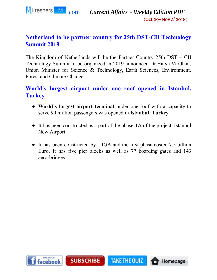

# **Netherland to be partner country for 25th DST-CII Technology Summit 2019**

The Kingdom of Netherlands will be the Partner Country 25th DST – CII Technology Summit to be organized in 2019 announced Dr.Harsh Vardhan, Union Minister for Science & Technology, Earth Sciences, Environment, Forest and Climate Change.

# **World's largest airport under one roof opened in Istanbul, Turkey**

- **World's largest airport terminal** under one roof with a capacity to serve 90 million passengers was opened in **Istanbul, Turkey**
- It has been constructed as a part of the phase-1A of the project, Istanbul New Airport
- It has been constructed by  $-$  IGA and the first phase costed 7.5 billion Euro. It has five pier blocks as well as 77 boarding gates and 143 aero-bridges

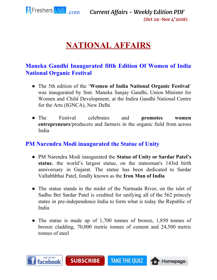<span id="page-5-0"></span>

# **NATIONAL AFFAIRS**

# **Maneka Gandhi Inaugurated fifth Edition Of Women of India National Organic Festival**

- The 5th edition of the '**Women of India National Organic Festival**' was inaugurated by Smt. Maneka Sanjay Gandhi, Union Minister for Women and Child Development, at the Indira Gandhi National Centre for the Arts (IGNCA), New Delhi
- The Festival celebrates and **promotes women entrepreneurs**/producers and farmers in the organic field from across India

#### **PM Narendra Modi inaugurated the Statue of Unity**

- PM Narendra Modi inaugurated the **Statue of Unity or Sardar Patel's statue**, the world's largest statue, on the statesman's 143rd birth anniversary in Gujarat. The statue has been dedicated to Sardar Vallabhbhai Patel, fondly known as the **Iron Man of India**
- The statue stands in the midst of the Narmada River, on the islet of Sadhu Bet Sardar Patel is credited for unifying all of the 562 princely states in pre-independence India to form what is today the Republic of India
- The statue is made up of 1,700 tonnes of bronze, 1,850 tonnes of bronze cladding, 70,000 metric tonnes of cement and 24,500 metric tonnes of steel

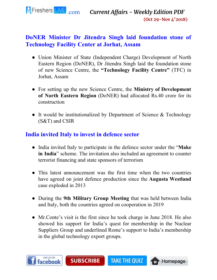

# **DoNER Minister Dr Jitendra Singh laid foundation stone of Technology Facility Center at Jorhat, Assam**

- Union Minister of State (Independent Charge) Development of North Eastern Region (DoNER), Dr Jitendra Singh laid the foundation stone of new Science Centre, the **"Technology Facility Centre"** (TFC) in Jorhat, Assam
- For setting up the new Science Centre, the **Ministry of Development of North Eastern Region** (DoNER) had allocated Rs.40 crore for its construction
- It would be institutionalized by Department of Science & Technology (S&T) and CSIR

# **India invited Italy to invest in defence sector**

- India invited Italy to participate in the defence sector under the "**Make in India**" scheme. The invitation also included an agreement to counter terrorist financing and state sponsors of terrorism
- This latest announcement was the first time when the two countries have agreed on joint defence production since the **Augusta Westland** case exploded in 2013
- During the **9th Military Group Meeting** that was held between India and Italy, both the countries agreed on cooperation in 2019
- Mr. Conte's visit is the first since he took charge in June 2018. He also showed his support for India's quest for membership in the Nuclear Suppliers Group and underlined Rome's support to India's membership in the global technology export groups.

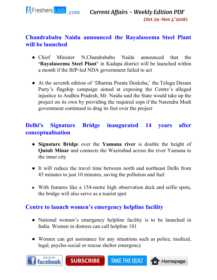

# **Chandrababu Naidu announced the Rayalaseema Steel Plant will be launched**

- Chief Minister N.Chandrababu Naidu announced that the **'Rayalaseema Steel Plant'** in Kadapa district will be launched within a month if the BJP-led NDA government failed to act
- At the seventh edition of 'Dharma Porata Deeksha,' the Telugu Desam Party's flagship campaign aimed at exposing the Centre's alleged injustice to Andhra Pradesh, Mr. Naidu said the State would take up the project on its own by providing the required sops if the Narendra Modi government continued to drag its feet over the project

# **Delhi's Signature Bridge inaugurated 14 years after conceptualisation**

- **Signature Bridge** over the **Yamuna river** is double the height of **Qutub Minar** and connects the Wazirabad across the river Yamuna to the inner city
- It will reduce the travel time between north and northeast Delhi from 45 minutes to just 10 minutes, saving the pollution and fuel
- With features like a 154-metre high observation deck and selfie spots, the bridge will also serve as a tourist spot

# **Centre to launch women's emergency helpline facility**

- National women's emergency helpline facility is to be launched in India. Women in distress can call helpline 181
- Women can get assistance for any situations such as police, medical, legal, psycho-social or rescue shelter emergency



**SUBSCRIBE TAKE THE QUIZ** 

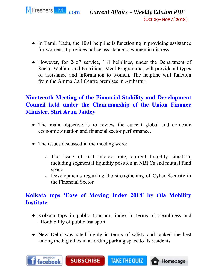

- In Tamil Nadu, the 1091 helpline is functioning in providing assistance for women. It provides police assistance to women in distress
- However, for 24x7 service, 181 helplines, under the Department of Social Welfare and Nutritious Meal Programme, will provide all types of assistance and information to women. The helpline will function from the Amma Call Centre premises in Ambattur.

# **Nineteenth Meeting of the Financial Stability and Development Council held under the Chairmanship of the Union Finance Minister, Shri Arun Jaitley**

- The main objective is to review the current global and domestic economic situation and financial sector performance.
- The issues discussed in the meeting were:

**SUBSCRIBE** 

- The issue of real interest rate, current liquidity situation, including segmental liquidity position in NBFCs and mutual fund space
- Developments regarding the strengthening of Cyber Security in the Financial Sector.

# **Kolkata tops 'Ease of Moving Index 2018' by Ola Mobility Institute**

- Kolkata tops in public transport index in terms of cleanliness and affordability of public transport
- New Delhi was rated highly in terms of safety and ranked the best among the big cities in affording parking space to its residents

**TAKE THE QUIZ** 

**Homepage** 

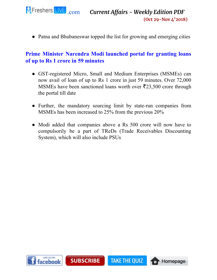

• Patna and Bhubaneswar topped the list for growing and emerging cities

#### **Prime Minister Narendra Modi launched portal for granting loans of up to Rs 1 crore in 59 minutes**

- GST-registered Micro, Small and Medium Enterprises (MSMEs) can now avail of loan of up to Rs 1 crore in just 59 minutes. Over 72,000 MSMEs have been sanctioned loans worth over  $\bar{\mathfrak{Z}}23,500$  crore through the portal till date
- Further, the mandatory sourcing limit by state-run companies from MSMEs has been increased to 25% from the previous 20%
- Modi added that companies above a Rs 500 crore will now have to compulsorily be a part of TReDs (Trade Receivables Discounting System), which will also include PSUs

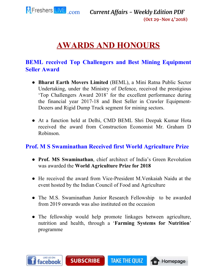

# **AWARDS AND HONOURS**

### <span id="page-10-0"></span>**BEML received Top Challengers and Best Mining Equipment Seller Award**

- **Bharat Earth Movers Limited** (BEML), a Mini Ratna Public Sector Undertaking, under the Ministry of Defence, received the prestigious 'Top Challengers Award 2018' for the excellent performance during the financial year 2017-18 and Best Seller in Crawler Equipment-Dozers and Rigid Dump Truck segment for mining sectors.
- At a function held at Delhi, CMD BEML Shri Deepak Kumar Hota received the award from Construction Economist Mr. Graham D Robinson.

#### **Prof. M S Swaminathan Received first World Agriculture Prize**

- **Prof. MS Swaminathan**, chief architect of India's Green Revolution was awarded the **World Agriculture Prize for 2018**
- He received the award from Vice-President M.Venkaiah Naidu at the event hosted by the Indian Council of Food and Agriculture
- The M.S. Swaminathan Junior Research Fellowship to be awarded from 2019 onwards was also instituted on the occasion
- The fellowship would help promote linkages between agriculture, nutrition and health, through a '**Farming Systems for Nutrition**' programme



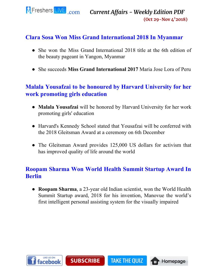

#### **Clara Sosa Won Miss Grand International 2018 In Myanmar**

- She won the Miss Grand International 2018 title at the 6th edition of the beauty pageant in Yangon, Myanmar
- She succeeds **Miss Grand International 2017** Maria Jose Lora of Peru

# **Malala Yousafzai to be honoured by Harvard University for her work promoting girls education**

- **Malala Yousafzai** will be honored by Harvard University for her work promoting girls' education
- Harvard's Kennedy School stated that Yousafzai will be conferred with the 2018 Gleitsman Award at a ceremony on 6th December
- The Gleitsman Award provides 125,000 US dollars for activism that has improved quality of life around the world

# **Roopam Sharma Won World Health Summit Startup Award In Berlin**

● **Roopam Sharma**, a 23-year old Indian scientist, won the World Health Summit Startup award, 2018 for his invention, Manovue the world's first intelligent personal assisting system for the visually impaired

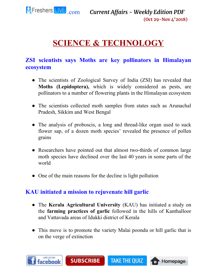

# **SCIENCE & TECHNOLOGY**

# <span id="page-12-0"></span>**ZSI scientists says Moths are key pollinators in Himalayan ecosystem**

- The scientists of Zoological Survey of India (ZSI) has revealed that **Moths (Lepidoptera),** which is widely considered as pests, are pollinators to a number of flowering plants in the Himalayan ecosystem
- The scientists collected moth samples from states such as Arunachal Pradesh, Sikkim and West Bengal
- The analysis of proboscis, a long and thread-like organ used to suck flower sap, of a dozen moth species' revealed the presence of pollen grains
- Researchers have pointed out that almost two-thirds of common large moth species have declined over the last 40 years in some parts of the world
- One of the main reasons for the decline is light pollution

# **KAU initiated a mission to rejuvenate hill garlic**

- The **Kerala Agricultural University** (KAU) has initiated a study on the **farming practices of garlic** followed in the hills of Kanthalloor and Vattavada areas of Idukki district of Kerala
- This move is to promote the variety Malai poondu or hill garlic that is on the verge of extinction

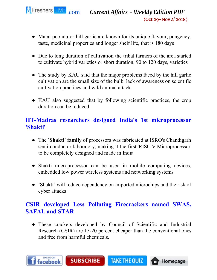

- Malai poondu or hill garlic are known for its unique flavour, pungency, taste, medicinal properties and longer shelf life, that is 180 days
- Due to long duration of cultivation the tribal farmers of the area started to cultivate hybrid varieties or short duration, 90 to 120 days, varieties
- The study by KAU said that the major problems faced by the hill garlic cultivation are the small size of the bulb, lack of awareness on scientific cultivation practices and wild animal attack
- KAU also suggested that by following scientific practices, the crop duration can be reduced

# **IIT-Madras researchers designed India's 1st microprocessor 'Shakti'**

- The **'Shakti' family** of processors was fabricated at ISRO's Chandigarh semi-conductor laboratory, making it the first 'RISC V Microprocessor' to be completely designed and made in India
- Shakti microprocessor can be used in mobile computing devices, embedded low power wireless systems and networking systems
- 'Shakti' will reduce dependency on imported microchips and the risk of cyber attacks

# **CSIR developed Less Polluting Firecrackers named SWAS, SAFAL and STAR**

● These crackers developed by Council of Scientific and Industrial Research (CSIR) are 15-20 percent cheaper than the conventional ones and free from harmful chemicals.

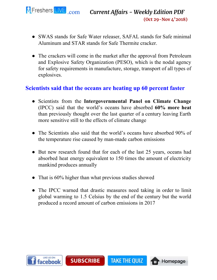

- SWAS stands for Safe Water releaser, SAFAL stands for Safe minimal Aluminum and STAR stands for Safe Thermite cracker.
- The crackers will come in the market after the approval from Petroleum and Explosive Safety Organization (PESO), which is the nodal agency for safety requirements in manufacture, storage, transport of all types of explosives.

#### **Scientists said that the oceans are heating up 60 percent faster**

- Scientists from the **Intergovernmental Panel on Climate Change** (IPCC) said that the world's oceans have absorbed **60% more heat** than previously thought over the last quarter of a century leaving Earth more sensitive still to the effects of climate change
- The Scientists also said that the world's oceans have absorbed 90% of the temperature rise caused by man-made carbon emissions
- But new research found that for each of the last 25 years, oceans had absorbed heat energy equivalent to 150 times the amount of electricity mankind produces annually
- That is 60% higher than what previous studies showed
- The IPCC warned that drastic measures need taking in order to limit global warming to 1.5 Celsius by the end of the century but the world produced a record amount of carbon emissions in 2017

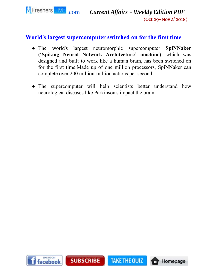

#### **World's largest supercomputer switched on for the first time**

- The world's largest neuromorphic supercomputer **SpiNNaker ('Spiking Neural Network Architecture' machine)**, which was designed and built to work like a human brain, has been switched on for the first time.Made up of one million processors, SpiNNaker can complete over 200 million-million actions per second
- The supercomputer will help scientists better understand how neurological diseases like Parkinson's impact the brain

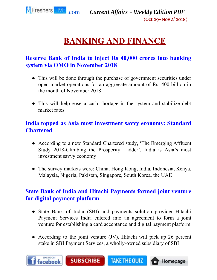

# **BANKING AND FINANCE**

# <span id="page-16-0"></span>**Reserve Bank of India to inject Rs 40,000 crores into banking system via OMO in November 2018**

- This will be done through the purchase of government securities under open market operations for an aggregate amount of Rs. 400 billion in the month of November 2018
- This will help ease a cash shortage in the system and stabilize debt market rates

# **India topped as Asia most investment savvy economy: Standard Chartered**

- According to a new Standard Chartered study, 'The Emerging Affluent Study 2018-Climbing the Prosperity Ladder', India is Asia's most investment savvy economy
- The survey markets were: China, Hong Kong, India, Indonesia, Kenya, Malaysia, Nigeria, Pakistan, Singapore, South Korea, the UAE

# **State Bank of India and Hitachi Payments formed joint venture for digital payment platform**

- State Bank of India (SBI) and payments solution provider Hitachi Payment Services India entered into an agreement to form a joint venture for establishing a card acceptance and digital payment platform
- According to the joint venture (JV), Hitachi will pick up 26 percent stake in SBI Payment Services, a wholly-owned subsidiary of SBI

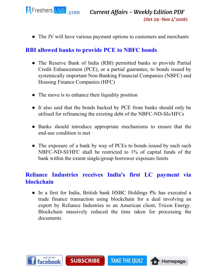

• The JV will have various payment options to customers and merchants

### **RBI allowed banks to provide PCE to NBFC bonds**

- The Reserve Bank of India (RBI) permitted banks to provide Partial Credit Enhancement (PCE), or a partial guarantee, to bonds issued by systemically important Non-Banking Financial Companies (NBFC) and Housing Finance Companies (HFC)
- The move is to enhance their liquidity position
- It also said that the bonds backed by PCE from banks should only be utilised for refinancing the existing debt of the NBFC-ND-SIs/HFCs
- Banks should introduce appropriate mechanisms to ensure that the end-use condition is met
- The exposure of a bank by way of PCEs to bonds issued by each such NBFC-ND-SI/HFC shall be restricted to 1% of capital funds of the bank within the extent single/group borrower exposure limits

# **Reliance Industries receives India's first LC payment via blockchain**

• In a first for India, British bank HSBC Holdings Plc has executed a trade finance transaction using blockchain for a deal involving an export by Reliance Industries to an American client, Tricon Energy. Blockchain massively reduced the time taken for processing the documents

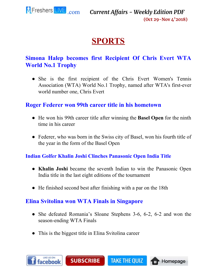

# **SPORTS**

# <span id="page-18-0"></span>**Simona Halep becomes first Recipient Of Chris Evert WTA World No.1 Trophy**

• She is the first recipient of the Chris Evert Women's Tennis Association (WTA) World No.1 Trophy, named after WTA's first-ever world number one, Chris Evert

#### **Roger Federer won 99th career title in his hometown**

- He won his 99th career title after winning the **Basel Open** for the ninth time in his career
- Federer, who was born in the Swiss city of Basel, won his fourth title of the year in the form of the Basel Open

#### **Indian Golfer Khalin Joshi Clinches Panasonic Open India Title**

- **Khalin Joshi** became the seventh Indian to win the Panasonic Open India title in the last eight editions of the tournament
- He finished second best after finishing with a par on the 18th

# **Elina Svitolina won WTA Finals in Singapore**

• She defeated Romania's Sloane Stephens 3-6, 6-2, 6-2 and won the season-ending WTA Finals

**TAKE THE QUIZ** 

**THE Homepage** 

• This is the biggest title in Elina Svitolina career

**SUBSCRIBE** 

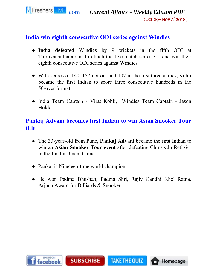

#### **India win eighth consecutive ODI series against Windies**

- **India defeated** Windies by 9 wickets in the fifth ODI at Thiruvananthapuram to clinch the five-match series 3-1 and win their eighth consecutive ODI series against Windies
- With scores of 140, 157 not out and 107 in the first three games, Kohli became the first Indian to score three consecutive hundreds in the 50-over format
- India Team Captain Virat Kohli, Windies Team Captain Jason Holder

### **Pankaj Advani becomes first Indian to win Asian Snooker Tour title**

- The 33-year-old from Pune, **Pankaj Advani** became the first Indian to win an **Asian Snooker Tour event** after defeating China's Ju Reti 6-1 in the final in Jinan, China
- Pankaj is Nineteen-time world champion
- He won Padma Bhushan, Padma Shri, Rajiv Gandhi Khel Ratna, Arjuna Award for Billiards & Snooker

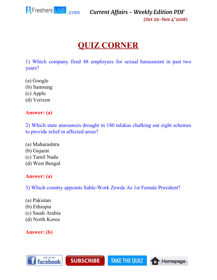

# **QUIZ CORNER**

<span id="page-20-0"></span>1) Which company fired 48 employees for sexual harassment in past two years?

- (a) Google
- (b) Samsung
- (c) Apple
- (d) Verizon

#### **Answer: (a)**

2) Which state announces drought in 180 talukas chalking out eight schemes to provide relief in affected areas?

(a) Maharashtra (b) Gujarat (c) Tamil Nadu (d) West Bengal

#### **Answer: (a)**

3) Which country appoints Sahle-Work Zewde As 1st Female President?

**TAKE THE QUIZ** 

**THE Homepage** 

**SUBSCRIBE** 

- (a) Pakistan
- (b) Ethiopia
- (c) Saudi Arabia
- (d) North Korea

**Answer: (b)**

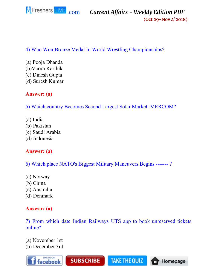

#### **(Oct 29-Nov 4'2018)**

#### 4) Who Won Bronze Medal In World Wrestling Championships?

(a) Pooja Dhanda (b)Varun Karthik (c) Dinesh Gupta (d) Suresh Kumar

#### **Answer: (a)**

5) Which country Becomes Second Largest Solar Market: MERCOM?

- (a) India
- (b) Pakistan
- (c) Saudi Arabia
- (d) Indonesia

#### **Answer: (a)**

6) Which place NATO's Biggest Military Maneuvers Begins ------- ?

- (a) Norway
- (b) China
- (c) Australia
- (d) Denmark

#### **Answer: (a)**

7) From which date Indian Railways UTS app to book unreserved tickets online?

(a) November 1st (b) December 3rd

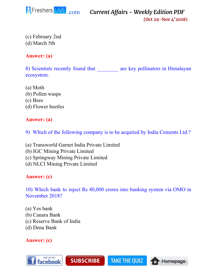

**(Oct 29-Nov 4'2018)**

(c) February 2nd (d) March 5th

#### **Answer: (a)**

8) Scientists recently found that are key pollinators in Himalayan ecosystem.

(a) Moth (b) Pollen wasps (c) Bees (d) Flower beetles

#### **Answer: (a)**

9) Which of the following company is to be acquired by India Cements Ltd.?

(a) Transworld Garnet India Private Limited

**SUBSCRIBE** 

- (b) IGC Mining Private Limited
- (c) Springway Mining Private Limited
- (d) NLCI Mining Private Limited

#### **Answer: (c)**

10) Which bank to inject Rs 40,000 crores into banking system via OMO in November 2018?

**TAKE THE QUIZ** 

**THE Homepage** 

- (a) Yes bank
- (b) Canara Bank
- (c) Reserve Bank of India
- (d) Dena Bank

#### **Answer: (c)**

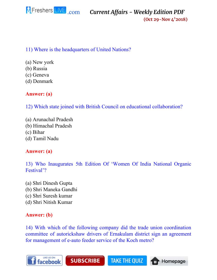

**(Oct 29-Nov 4'2018)**

#### 11) Where is the headquarters of United Nations?

- (a) New york
- (b) Russia
- (c) Geneva
- (d) Denmark

#### **Answer: (a)**

12) Which state joined with British Council on educational collaboration?

- (a) Arunachal Pradesh
- (b) Himachal Pradesh
- (c) Bihar
- (d) Tamil Nadu

#### **Answer: (a)**

13) Who Inaugurates 5th Edition Of 'Women Of India National Organic Festival'?

(a) Shri Dinesh Gupta (b) Shri Maneka Gandhi (c) Shri Suresh kumar (d) Shri Nitish Kumar

#### **Answer: (b)**

14) With which of the following company did the trade union coordination committee of autorickshaw drivers of Ernakulam district sign an agreement for management of e-auto feeder service of the Koch metro?

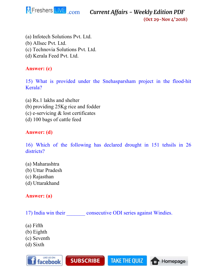

**(Oct 29-Nov 4'2018)**

- (a) Infotech Solutions Pvt. Ltd.
- (b) Allsec Pvt. Ltd.
- (c) Technovia Solutions Pvt. Ltd.
- (d) Kerala Feed Pvt. Ltd.

#### **Answer: (c)**

15) What is provided under the Snehasparsham project in the flood-hit Kerala?

- (a) Rs.1 lakhs and shelter
- (b) providing 25Kg rice and fodder
- (c) e-servicing & lost certificates
- (d) 100 bags of cattle feed

#### **Answer: (d)**

16) Which of the following has declared drought in 151 tehsils in 26 districts?

(a) Maharashtra (b) Uttar Pradesh (c) Rajasthan (d) Uttarakhand

# **Answer: (a)**

17) India win their consecutive ODI series against Windies.

**SUBSCRIBE** 

**TAKE THE QUIZ** 

**THE Homepage** 

- (a) Fifth
- (b) Eighth
- (c) Seventh
- (d) Sixth

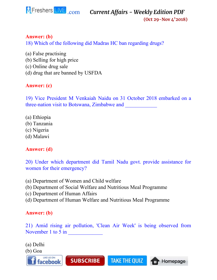

**(Oct 29-Nov 4'2018)**

#### **Answer: (b)**

18) Which of the following did Madras HC ban regarding drugs?

(a) False practising (b) Selling for high price (c) Online drug sale (d) drug that are banned by USFDA

#### **Answer: (c)**

19) Vice President M Venkaiah Naidu on 31 October 2018 embarked on a three-nation visit to Botswana, Zimbabwe and \_\_\_\_\_\_\_\_\_\_\_\_

- (a) Ethiopia
- (b) Tanzania
- (c) Nigeria
- (d) Malawi

#### **Answer: (d)**

20) Under which department did Tamil Nadu govt. provide assistance for women for their emergency?

- (a) Department of Women and Child welfare
- (b) Department of Social Welfare and Nutritious Meal Programme
- (c) Department of Human Affairs
- (d) Department of Human Welfare and Nutritious Meal Programme

#### **Answer: (b)**

21) Amid rising air pollution, 'Clean Air Week' is being observed from November 1 to 5 in

**TAKE THE QUIZ** 

Homepage

(a) Delhi

(b) Goa

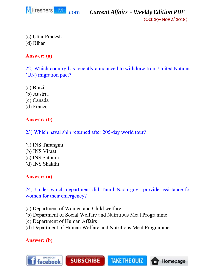

**(Oct 29-Nov 4'2018)**

Homepage

m

(c) Uttar Pradesh (d) Bihar

**Answer: (a)**

22) Which country has recently announced to withdraw from United Nations' (UN) migration pact?

- (a) Brazil
- (b) Austria
- (c) Canada
- (d) France

#### **Answer: (b)**

23) Which naval ship returned after 205-day world tour?

- (a) INS Tarangini (b) INS Viraat
- (c) INS Satpura
- (d) INS Shakthi

#### **Answer: (a)**

24) Under which department did Tamil Nadu govt. provide assistance for women for their emergency?

- (a) Department of Women and Child welfare
- (b) Department of Social Welfare and Nutritious Meal Programme
- (c) Department of Human Affairs
- (d) Department of Human Welfare and Nutritious Meal Programme

#### **Answer: (b)**

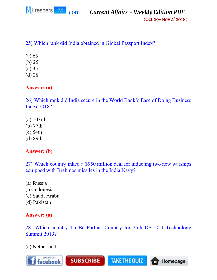

**(Oct 29-Nov 4'2018)**

#### 25) Which rank did India obtained in Global Passport Index?

- (a) 65
- (b) 25
- (c) 35
- (d) 28

#### **Answer: (a)**

26) Which rank did India secure in the World Bank's Ease of Doing Business Index 2018?

- (a) 103rd (b) 77th
- (c) 54th
- 
- (d) 89th

#### **Answer: (b)**

27) Which country inked a \$950 million deal for inducting two new warships equipped with Brahmos missiles in the India Navy?

(a) Russia (b) Indonesia (c) Saudi Arabia (d) Pakistan

#### **Answer: (a)**

#### 28) Which country To Be Partner Country for 25th DST-CII Technology Summit 2019?

(a) Netherland

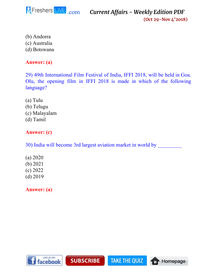

**(Oct 29-Nov 4'2018)**

- (b) Andorra
- (c) Australia
- (d) Botswana

#### **Answer: (a)**

29) 49th International Film Festival of India, IFFI 2018, will be held in Goa. Olu, the opening film in IFFI 2018 is made in which of the following language?

- (a) Tulu
- (b) Telugu
- (c) Malayalam
- (d) Tamil

### **Answer: (c)**

30) India will become 3rd largest aviation market in world by

- (a) 2020 (b) 2021
- (c) 2022
- (d) 2019

<span id="page-28-0"></span>**Answer: (a)**

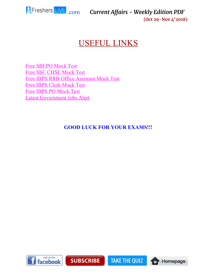

# USEFUL LINKS

[Free SBI PO Mock Test](https://www.fresherslive.com/mock-test/sbi-po-prelims?utm_source=capdf&utm_medium=capdf&utm_campaign=capdf&utm_term=capdf&utm_content=capdf) [Free SSC CHSL Mock Test](https://www.fresherslive.com/mock-test/chsl-tier-I?utm_source=capdf&utm_medium=capdf&utm_campaign=capdf&utm_term=capdf&utm_content=capdf) [Free IBPS RRB Office Assistant Mock Test](https://www.fresherslive.com/mock-test/ibps-rrb-office-assistant-prelims?utm_source=capdf&utm_medium=capdf&utm_campaign=capdf&utm_term=capdf&utm_content=capdf) [Free IBPS Clerk Mock Test](https://www.fresherslive.com/mock-test/ibps-clerk-exam?utm_source=capdf&utm_medium=capdf&utm_campaign=capdf&utm_term=capdf&utm_content=capdf) [Free IBPS PO Mock Test](https://www.fresherslive.com/mock-test/ibps-po-prelims?utm_source=capdf&utm_medium=capdf&utm_campaign=capdf&utm_term=capdf&utm_content=capdf) [Latest Government Jobs Alert](https://goo.gl/eLGP5J)

#### **GOOD LUCK FOR YOUR EXAMS!!!**